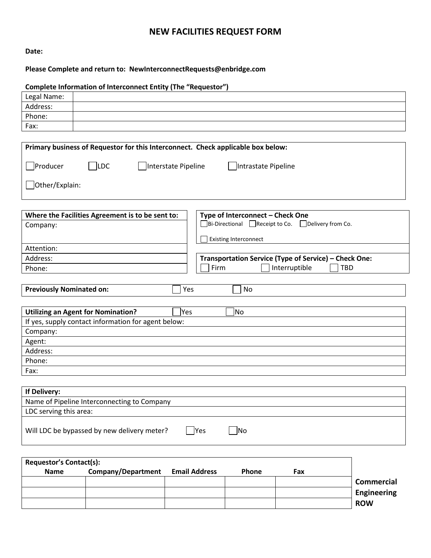## **NEW FACILITIES REQUEST FORM**

#### **Date:**

### **Please Complete and return to: NewInterconnectRequests@enbridge.com**

### **Complete Information of Interconnect Entity (The "Requestor")**

| Legal Name:                               |                                                                                  |                      |                                  |                                                       |                    |
|-------------------------------------------|----------------------------------------------------------------------------------|----------------------|----------------------------------|-------------------------------------------------------|--------------------|
| Address:                                  |                                                                                  |                      |                                  |                                                       |                    |
| Phone:                                    |                                                                                  |                      |                                  |                                                       |                    |
| Fax:                                      |                                                                                  |                      |                                  |                                                       |                    |
|                                           |                                                                                  |                      |                                  |                                                       |                    |
|                                           | Primary business of Requestor for this Interconnect. Check applicable box below: |                      |                                  |                                                       |                    |
|                                           |                                                                                  |                      |                                  |                                                       |                    |
| Producer                                  | $\Box$ LDC                                                                       | Interstate Pipeline  | Intrastate Pipeline              |                                                       |                    |
|                                           |                                                                                  |                      |                                  |                                                       |                    |
| Other/Explain:                            |                                                                                  |                      |                                  |                                                       |                    |
|                                           |                                                                                  |                      |                                  |                                                       |                    |
|                                           | Where the Facilities Agreement is to be sent to:                                 |                      | Type of Interconnect - Check One |                                                       |                    |
| Company:                                  |                                                                                  |                      |                                  | □Bi-Directional ■Receipt to Co. ■Delivery from Co.    |                    |
|                                           |                                                                                  |                      |                                  |                                                       |                    |
|                                           |                                                                                  |                      | <b>Existing Interconnect</b>     |                                                       |                    |
| Attention:                                |                                                                                  |                      |                                  |                                                       |                    |
| Address:                                  |                                                                                  | Firm                 |                                  | Transportation Service (Type of Service) - Check One: | <b>TBD</b>         |
| Phone:                                    |                                                                                  |                      |                                  | Interruptible                                         |                    |
|                                           |                                                                                  |                      |                                  |                                                       |                    |
| <b>Previously Nominated on:</b>           |                                                                                  | Yes                  | No                               |                                                       |                    |
|                                           |                                                                                  |                      |                                  |                                                       |                    |
| <b>Utilizing an Agent for Nomination?</b> |                                                                                  | Yes                  | No                               |                                                       |                    |
|                                           | If yes, supply contact information for agent below:                              |                      |                                  |                                                       |                    |
| Company:<br>Agent:                        |                                                                                  |                      |                                  |                                                       |                    |
| Address:                                  |                                                                                  |                      |                                  |                                                       |                    |
| Phone:                                    |                                                                                  |                      |                                  |                                                       |                    |
| Fax:                                      |                                                                                  |                      |                                  |                                                       |                    |
|                                           |                                                                                  |                      |                                  |                                                       |                    |
| If Delivery:                              |                                                                                  |                      |                                  |                                                       |                    |
|                                           | Name of Pipeline Interconnecting to Company                                      |                      |                                  |                                                       |                    |
| LDC serving this area:                    |                                                                                  |                      |                                  |                                                       |                    |
|                                           |                                                                                  |                      |                                  |                                                       |                    |
|                                           | Will LDC be bypassed by new delivery meter?                                      | Yes                  | $\neg$ No                        |                                                       |                    |
|                                           |                                                                                  |                      |                                  |                                                       |                    |
|                                           |                                                                                  |                      |                                  |                                                       |                    |
| <b>Requestor's Contact(s):</b>            |                                                                                  |                      |                                  |                                                       |                    |
| <b>Name</b>                               | Company/Department                                                               | <b>Email Address</b> | Phone                            | Fax                                                   |                    |
|                                           |                                                                                  |                      |                                  |                                                       | <b>Commercial</b>  |
|                                           |                                                                                  |                      |                                  |                                                       | <b>Engineering</b> |

**ROW**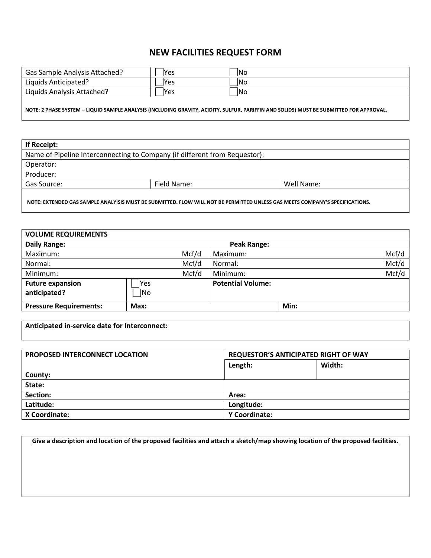# **NEW FACILITIES REQUEST FORM**

| <b>Gas Sample Analysis Attached?</b> | 'Yes | <b>INo</b> |
|--------------------------------------|------|------------|
| Liquids Anticipated?                 | 'Yes | <b>INo</b> |
| Liquids Analysis Attached?           | 'Yes | <b>INo</b> |
|                                      |      |            |

**NOTE: 2 PHASE SYSTEM – LIQUID SAMPLE ANALYSIS (INCLUDING GRAVITY, ACIDITY, SULFUR, PARIFFIN AND SOLIDS) MUST BE SUBMITTED FOR APPROVAL.**

| If Receipt:                                                                |             |            |  |  |
|----------------------------------------------------------------------------|-------------|------------|--|--|
| Name of Pipeline Interconnecting to Company (if different from Requestor): |             |            |  |  |
| Operator:                                                                  |             |            |  |  |
| Producer:                                                                  |             |            |  |  |
| Gas Source:                                                                | Field Name: | Well Name: |  |  |
|                                                                            |             |            |  |  |

**NOTE: EXTENDED GAS SAMPLE ANALYISIS MUST BE SUBMITTED. FLOW WILL NOT BE PERMITTED UNLESS GAS MEETS COMPANY'S SPECIFICATIONS.**

| <b>VOLUME REQUIREMENTS</b>              |                    |       |                          |      |       |
|-----------------------------------------|--------------------|-------|--------------------------|------|-------|
| Daily Range:                            | <b>Peak Range:</b> |       |                          |      |       |
| Maximum:                                |                    | Mcf/d | Maximum:                 |      | Mcf/d |
| Normal:                                 |                    | Mcf/d | Normal:                  |      | Mcf/d |
| Minimum:                                |                    | Mcf/d | Minimum:                 |      | Mcf/d |
| <b>Future expansion</b><br>anticipated? | lYes<br> No        |       | <b>Potential Volume:</b> |      |       |
| <b>Pressure Requirements:</b>           | Max:               |       |                          | Min: |       |

**Anticipated in-service date for Interconnect:**

| PROPOSED INTERCONNECT LOCATION | <b>REQUESTOR'S ANTICIPATED RIGHT OF WAY</b> |        |  |
|--------------------------------|---------------------------------------------|--------|--|
|                                | Length:                                     | Width: |  |
| County:                        |                                             |        |  |
| State:                         |                                             |        |  |
| Section:                       | Area:                                       |        |  |
| Latitude:                      | Longitude:                                  |        |  |
| X Coordinate:                  | Y Coordinate:                               |        |  |

**Give a description and location of the proposed facilities and attach a sketch/map showing location of the proposed facilities.**